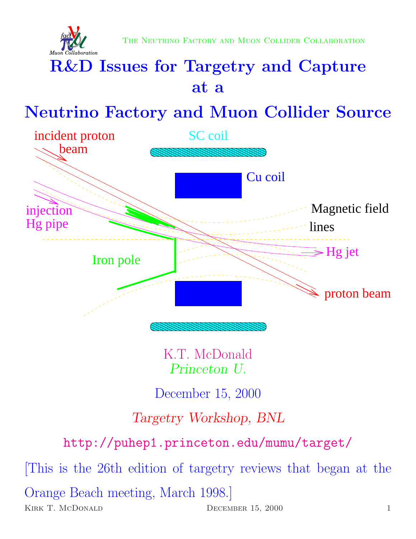

# R&D Issues for Targetry and Capture at a

# Neutrino Factory and Muon Collider Source



K.T. McDonald Princeton U.

December 15, 2000

## Targetry Workshop, BNL

http://puhep1.princeton.edu/mumu/target/

[This is the 26th edition of targetry reviews that began at the Orange Beach meeting, March 1998.] KIRK T. MCDONALD DECEMBER 15, 2000 1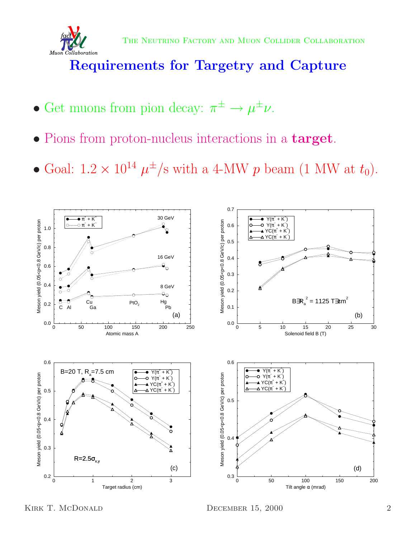

## Requirements for Targetry and Capture

- Get muons from pion decay:  $\pi^{\pm} \rightarrow \mu^{\pm} \nu$ .
- Pions from proton-nucleus interactions in a **target**.
- Goal:  $1.2 \times 10^{14} \mu^{\pm}/s$  with a 4-MW p beam (1 MW at  $t_0$ ).

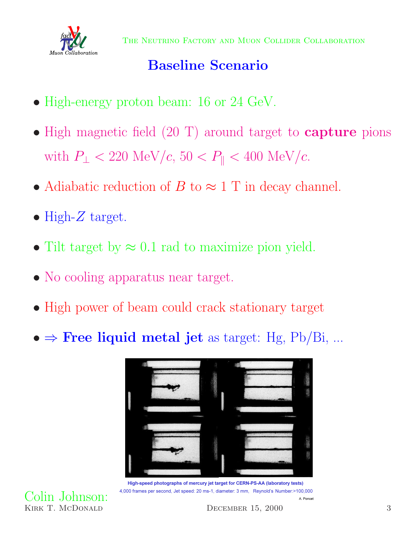

## Baseline Scenario

- High-energy proton beam: 16 or 24 GeV.
- High magnetic field (20 T) around target to **capture** pions with  $P_{\perp}$  < 220 MeV/c, 50 <  $P_{\parallel}$  < 400 MeV/c.
- Adiabatic reduction of B to  $\approx$  1 T in decay channel.
- High- $Z$  target.

Colin Johnson:

- Tilt target by  $\approx 0.1$  rad to maximize pion yield.
- No cooling apparatus near target.
- High power of beam could crack stationary target
- $\bullet \Rightarrow$  Free liquid metal jet as target: Hg, Pb/Bi, ...



High-speed photographs of mercury jet target for CERN-PS-AA (laboratory tests) 4,000 frames per second, Jet speed: 20 ms-1, diameter: 3 mm, Reynold's Number:>100,000 A. Poncet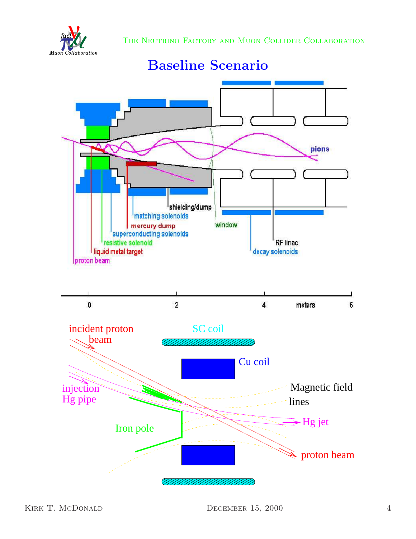



## Baseline Scenario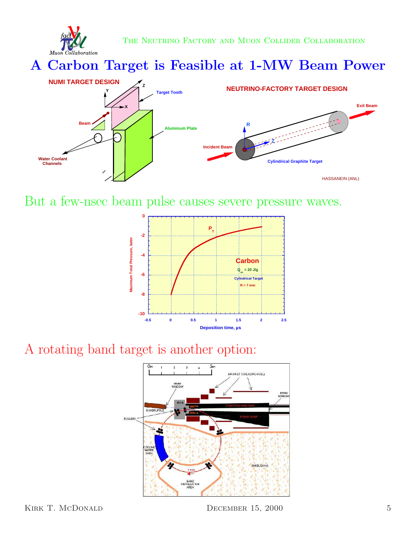

A Carbon Target is Feasible at 1-MW Beam Power



But a few-nsec beam pulse causes severe pressure waves.



#### rot is a pother options A rotating band target is another option:

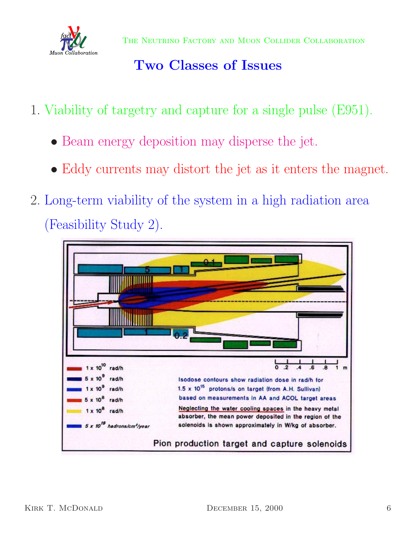

## Two Classes of Issues

- 1. Viability of targetry and capture for a single pulse (E951).
	- Beam energy deposition may disperse the jet.
	- Eddy currents may distort the jet as it enters the magnet.
- 2. Long-term viability of the system in a high radiation area (Feasibility Study 2).

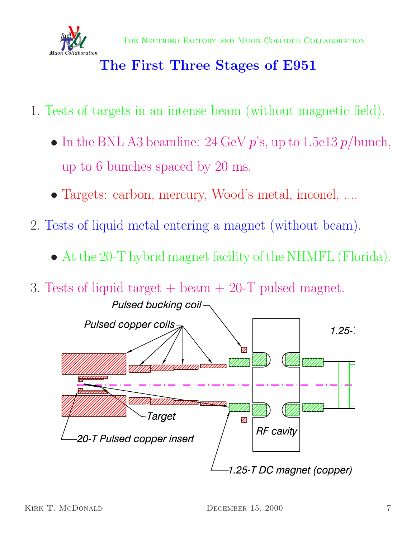

## The First Three Stages of E951

- 1. Tests of targets in an intense beam (without magnetic field).
	- In the BNL A3 beamline: 24 GeV  $p$ 's, up to 1.5e13  $p$ /bunch, up to 6 bunches spaced by 20 ms.
	- Targets: carbon, mercury, Wood's metal, inconel, ....
- 2. Tests of liquid metal entering a magnet (without beam).
	- At the 20-T hybrid magnet facility of the NHMFL (Florida).



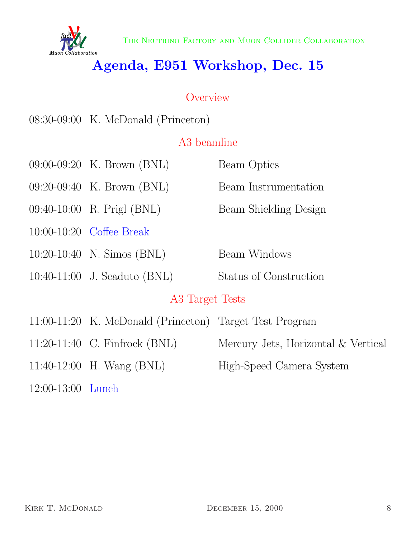

## Agenda, E951 Workshop, Dec. 15

### **Overview**

08:30-09:00 K. McDonald (Princeton)

### A3 beamline

|                 | $09:00-09:20$ K. Brown (BNL)                            | Beam Optics                         |  |  |
|-----------------|---------------------------------------------------------|-------------------------------------|--|--|
|                 | 09:20-09:40 K. Brown (BNL)                              | Beam Instrumentation                |  |  |
|                 | 09:40-10:00 R. Prigl (BNL)                              | Beam Shielding Design               |  |  |
|                 | 10:00-10:20 Coffee Break                                |                                     |  |  |
|                 | $10:20-10:40$ N. Simos (BNL)                            | Beam Windows                        |  |  |
|                 | 10:40-11:00 J. Scaduto (BNL)                            | Status of Construction              |  |  |
| A3 Target Tests |                                                         |                                     |  |  |
|                 | 11:00-11:20 K. McDonald (Princeton) Target Test Program |                                     |  |  |
|                 | 11:20-11:40 C. Finfrock (BNL)                           | Mercury Jets, Horizontal & Vertical |  |  |
|                 | 11:40-12:00 H. Wang $(BNL)$                             | High-Speed Camera System            |  |  |
|                 |                                                         |                                     |  |  |

12:00-13:00 Lunch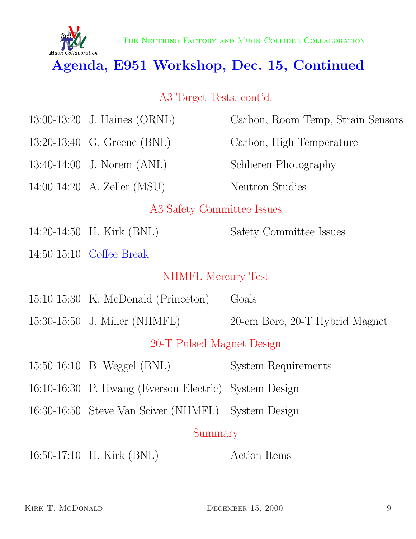

The Neutrino Factory and Muon Collider Collaboration

## Agenda, E951 Workshop, Dec. 15, Continued

### A3 Target Tests, cont'd.

|                            | 13:00-13:20 J. Haines $(ORNL)$                        | Carbon, Room Temp, Strain Sensors |  |  |
|----------------------------|-------------------------------------------------------|-----------------------------------|--|--|
|                            | 13:20-13:40 G. Greene (BNL)                           | Carbon, High Temperature          |  |  |
|                            | $13:40-14:00$ J. Norem $(ANL)$                        | Schlieren Photography             |  |  |
|                            | 14:00-14:20 A. Zeller $(MSU)$                         | <b>Neutron Studies</b>            |  |  |
| A3 Safety Committee Issues |                                                       |                                   |  |  |
|                            | 14:20-14:50 H. Kirk (BNL)                             | Safety Committee Issues           |  |  |
|                            | 14:50-15:10 Coffee Break                              |                                   |  |  |
| NHMFL Mercury Test         |                                                       |                                   |  |  |
|                            | $15:10-15:30$ K. McDonald (Princeton)                 | Goals                             |  |  |
|                            | 15:30-15:50 J. Miller (NHMFL)                         | 20-cm Bore, 20-T Hybrid Magnet    |  |  |
| 20-T Pulsed Magnet Design  |                                                       |                                   |  |  |
|                            | 15:50-16:10 B. Weggel (BNL)                           | System Requirements               |  |  |
|                            | 16:10-16:30 P. Hwang (Everson Electric) System Design |                                   |  |  |
|                            | 16:30-16:50 Steve Van Sciver (NHMFL)                  | System Design                     |  |  |
| Summary                    |                                                       |                                   |  |  |
|                            | 16:50-17:10 H. Kirk (BNL)                             | Action Items                      |  |  |
|                            |                                                       |                                   |  |  |
|                            |                                                       |                                   |  |  |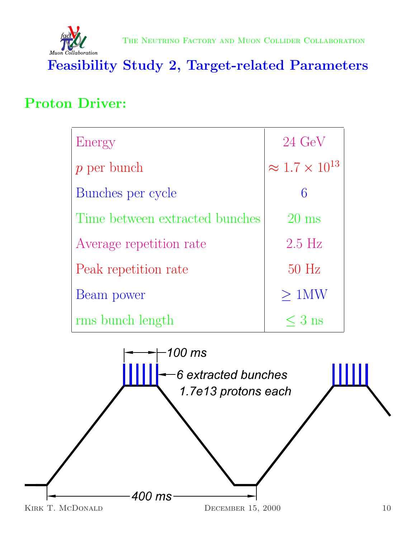

Feasibility Study 2, Target-related Parameters

## Proton Driver:

| Energy                         | $24 \text{ GeV}$             |
|--------------------------------|------------------------------|
| $p$ per bunch                  | $\approx 1.7 \times 10^{13}$ |
| Bunches per cycle              | 6                            |
| Time between extracted bunches | $20 \text{ ms}$              |
| Average repetition rate        | $2.5$ Hz                     |
| Peak repetition rate           | $50$ Hz                      |
| Beam power                     | $>1$ MW                      |
| rms bunch length               | $\leq 3$ ns                  |

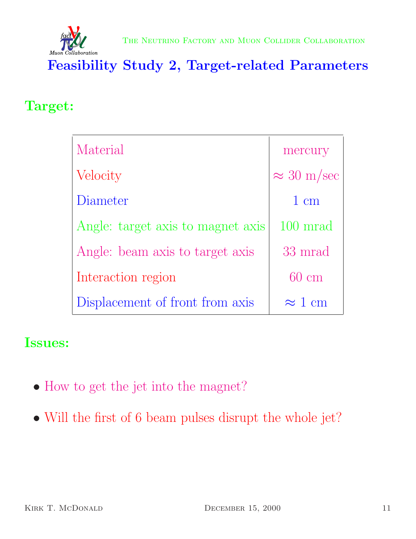

Feasibility Study 2, Target-related Parameters

### Target:

| Material                          | mercury                |
|-----------------------------------|------------------------|
| Velocity                          | $\approx 30$ m/sec     |
| Diameter                          | $1 \text{ cm}$         |
| Angle: target axis to magnet axis | $100 \; \mathrm{mrad}$ |
| Angle: beam axis to target axis   | 33 mrad                |
| Interaction region                | $60 \text{ cm}$        |
| Displacement of front from axis   | $\approx$ 1 cm         |

### Issues:

- How to get the jet into the magnet?
- Will the first of 6 beam pulses disrupt the whole jet?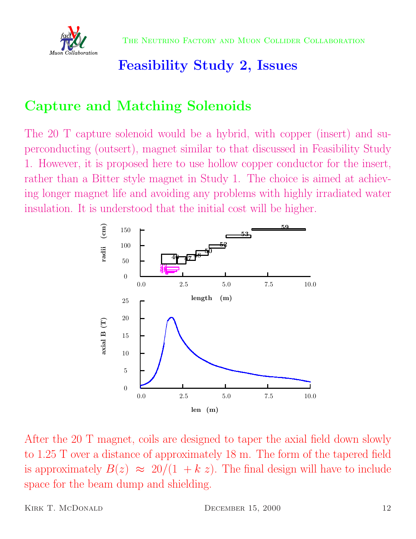

## Feasibility Study 2, Issues

## Capture and Matching Solenoids

The 20 T capture solenoid would be a hybrid, with copper (insert) and superconducting (outsert), magnet similar to that discussed in Feasibility Study 1. However, it is proposed here to use hollow copper conductor for the insert, rather than a Bitter style magnet in Study 1. The choice is aimed at achieving longer magnet life and avoiding any problems with highly irradiated water insulation. It is understood that the initial cost will be higher.



After the 20 T magnet, coils are designed to taper the axial field down slowly to 1.25 T over a distance of approximately 18 m. The form of the tapered field is approximately  $B(z) \approx 20/(1 + k z)$ . The final design will have to include space for the beam dump and shielding.

KIRK T. MCDONALD DECEMBER 15, 2000 12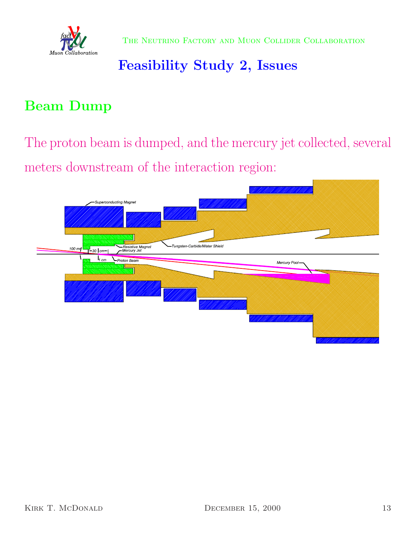

## Feasibility Study 2, Issues

## Beam Dump

The proton beam is dumped, and the mercury jet collected, several meters downstream of the interaction region:

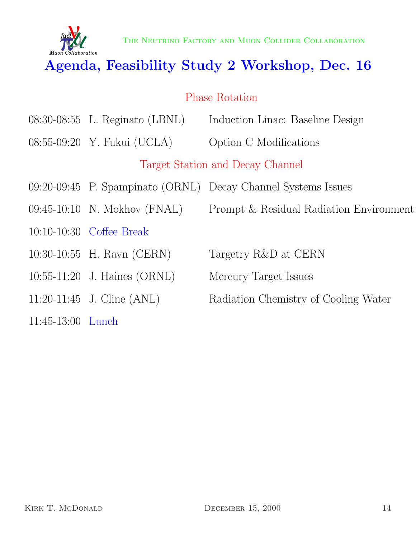

## Agenda, Feasibility Study 2 Workshop, Dec. 16

### Phase Rotation

- 08:30-08:55 L. Reginato (LBNL) Induction Linac: Baseline Design
- 08:55-09:20 Y. Fukui (UCLA) Option C Modifications

Target Station and Decay Channel

- 09:20-09:45 P. Spampinato (ORNL) Decay Channel Systems Issues
- 09:45-10:10 N. Mokhov (FNAL) Prompt & Residual Radiation Environment
- 10:10-10:30 Coffee Break
- 10:30-10:55 H. Ravn (CERN) Targetry R&D at CERN
- 10:55-11:20 J. Haines (ORNL) Mercury Target Issues
- 
- 11:45-13:00 Lunch
- 
- 
- 
- 11:20-11:45 J. Cline (ANL) Radiation Chemistry of Cooling Water